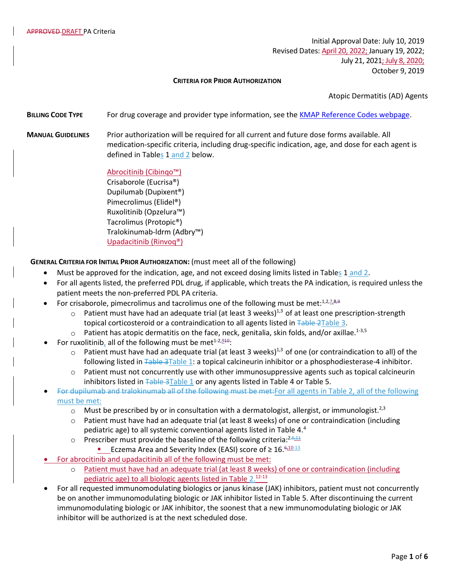Initial Approval Date: July 10, 2019 Revised Dates: April 20, 2022; January 19, 2022; July 21, 2021; July 8, 2020; October 9, 2019

### **CRITERIA FOR PRIOR AUTHORIZATION**

Atopic Dermatitis (AD) Agents

**BILLING CODE TYPE** For drug coverage and provider type information, see the [KMAP Reference Codes webpage.](https://www.kmap-state-ks.us/Provider/PRICING/RefCode.asp)

**MANUAL GUIDELINES** Prior authorization will be required for all current and future dose forms available. All medication-specific criteria, including drug-specific indication, age, and dose for each agent is defined in Tables 1 and 2 below.

> Abrocitinib (Cibinqo™) Crisaborole (Eucrisa®) Dupilumab (Dupixent®) Pimecrolimus (Elidel®) Ruxolitinib (Opzelura™) Tacrolimus (Protopic®) Tralokinumab-ldrm (Adbry™) Upadacitinib (Rinvoq®)

**GENERAL CRITERIA FOR INITIAL PRIOR AUTHORIZATION:** (must meet all of the following)

- Must be approved for the indication, age, and not exceed dosing limits listed in Tables 1 and 2.
- For all agents listed, the preferred PDL drug, if applicable, which treats the PA indication, is required unless the patient meets the non-preferred PDL PA criteria.
- For crisaborole, pimecrolimus and tacrolimus one of the following must be met: $1,2,7,8,9$ 
	- $\circ$  Patient must have had an adequate trial (at least 3 weeks)<sup>1,3</sup> of at least one prescription-strength topical corticosteroid or a contraindication to all agents listed in Table 2Table 3.
	- Patient has atopic dermatitis on the face, neck, genitalia, skin folds, and/or axillae.<sup>1-3,5</sup>
- For ruxolitinib, all of the following must be met $1-2,9+4$ :
	- $\circ$  Patient must have had an adequate trial (at least 3 weeks)<sup>1,3</sup> of one (or contraindication to all) of the following listed in Table 3Table 1: a topical calcineurin inhibitor or a phosphodiesterase-4 inhibitor.
	- $\circ$  Patient must not concurrently use with other immunosuppressive agents such as topical calcineurin inhibitors listed in Table 3Table 1 or any agents listed in Table 4 or Table 5.
- For dupilumab and tralokinumab all of the following must be met:For all agents in Table 2, all of the following must be met:
	- $\circ$  Must be prescribed by or in consultation with a dermatologist, allergist, or immunologist.<sup>2,3</sup>
	- o Patient must have had an adequate trial (at least 8 weeks) of one or contraindication (including pediatric age) to all systemic conventional agents listed in Table 4.<sup>4</sup>
	- o Prescriber must provide the baseline of the following criteria: $2,6,11$ 
		- Eczema Area and Severity Index (EASI) score of  $\geq 16 \frac{6 \cdot 10^{-13}}{2}$
- For abrocitinib and upadacitinib all of the following must be met:
	- o Patient must have had an adequate trial (at least 8 weeks) of one or contraindication (including pediatric age) to all biologic agents listed in Table 2.<sup>12-13</sup>
- For all requested immunomodulating biologics or janus kinase (JAK) inhibitors, patient must not concurrently be on another immunomodulating biologic or JAK inhibitor listed in Table 5. After discontinuing the current immunomodulating biologic or JAK inhibitor, the soonest that a new immunomodulating biologic or JAK inhibitor will be authorized is at the next scheduled dose.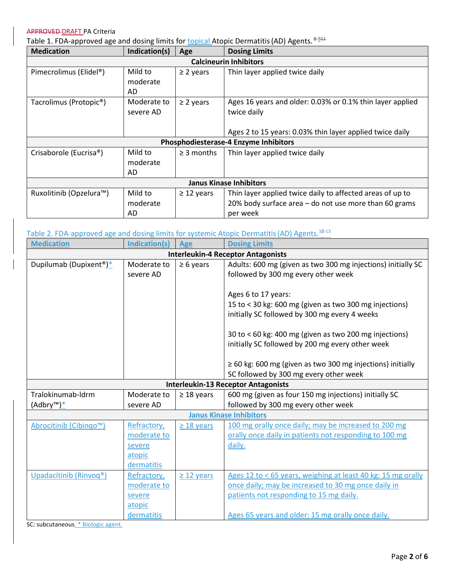Table 1. FDA-approved age and dosing limits for <u>topical</u> Atopic Dermatitis (AD) Agents. <sup>6-<u>944</u></sup>

| <b>Medication</b>                     | Indication(s) | Age             | <b>Dosing Limits</b>                                      |  |  |
|---------------------------------------|---------------|-----------------|-----------------------------------------------------------|--|--|
| <b>Calcineurin Inhibitors</b>         |               |                 |                                                           |  |  |
| Pimecrolimus (Elidel®)                | Mild to       | $\geq$ 2 years  | Thin layer applied twice daily                            |  |  |
|                                       | moderate      |                 |                                                           |  |  |
|                                       | AD            |                 |                                                           |  |  |
| Tacrolimus (Protopic <sup>®</sup> )   | Moderate to   | $\geq$ 2 years  | Ages 16 years and older: 0.03% or 0.1% thin layer applied |  |  |
|                                       | severe AD     |                 | twice daily                                               |  |  |
|                                       |               |                 |                                                           |  |  |
|                                       |               |                 | Ages 2 to 15 years: 0.03% thin layer applied twice daily  |  |  |
| Phosphodiesterase-4 Enzyme Inhibitors |               |                 |                                                           |  |  |
| Crisaborole (Eucrisa®)                | Mild to       | $\geq$ 3 months | Thin layer applied twice daily                            |  |  |
|                                       | moderate      |                 |                                                           |  |  |
|                                       | AD            |                 |                                                           |  |  |
| <b>Janus Kinase Inhibitors</b>        |               |                 |                                                           |  |  |
| Ruxolitinib (Opzelura™)               | Mild to       | $\geq$ 12 years | Thin layer applied twice daily to affected areas of up to |  |  |
|                                       | moderate      |                 | 20% body surface area - do not use more than 60 grams     |  |  |
|                                       | AD            |                 | per week                                                  |  |  |

# Table 2. FDA-approved age and dosing limits for systemic Atopic Dermatitis (AD) Agents.<sup>10-13</sup>

| <b>Medication</b>                         | <b>Indication(s)</b> | Age             | <b>Dosing Limits</b>                                            |  |
|-------------------------------------------|----------------------|-----------------|-----------------------------------------------------------------|--|
| <b>Interleukin-4 Receptor Antagonists</b> |                      |                 |                                                                 |  |
| Dupilumab (Dupixent <sup>®</sup> )*       | Moderate to          | $\geq 6$ years  | Adults: 600 mg (given as two 300 mg injections) initially SC    |  |
|                                           | severe AD            |                 | followed by 300 mg every other week                             |  |
|                                           |                      |                 |                                                                 |  |
|                                           |                      |                 | Ages 6 to 17 years:                                             |  |
|                                           |                      |                 | 15 to < 30 kg: 600 mg (given as two 300 mg injections)          |  |
|                                           |                      |                 | initially SC followed by 300 mg every 4 weeks                   |  |
|                                           |                      |                 | 30 to < 60 kg: 400 mg (given as two 200 mg injections)          |  |
|                                           |                      |                 | initially SC followed by 200 mg every other week                |  |
|                                           |                      |                 |                                                                 |  |
|                                           |                      |                 | $\geq$ 60 kg: 600 mg (given as two 300 mg injections) initially |  |
|                                           |                      |                 | SC followed by 300 mg every other week                          |  |
|                                           |                      |                 | <b>Interleukin-13 Receptor Antagonists</b>                      |  |
| Tralokinumab-Idrm                         | Moderate to          | $\geq$ 18 years | 600 mg (given as four 150 mg injections) initially SC           |  |
| (Adbry™) <sup>*</sup>                     | severe AD            |                 | followed by 300 mg every other week                             |  |
| <b>Janus Kinase Inhibitors</b>            |                      |                 |                                                                 |  |
| Abrocitinib (Cibingo™)                    | Refractory,          | $\geq$ 18 years | 100 mg orally once daily; may be increased to 200 mg            |  |
|                                           | moderate to          |                 | orally once daily in patients not responding to 100 mg          |  |
|                                           | severe               |                 | daily.                                                          |  |
|                                           | atopic               |                 |                                                                 |  |
|                                           | dermatitis           |                 |                                                                 |  |
| Upadacitinib (Rinvoq®)                    | Refractory,          | $\geq$ 12 years | Ages 12 to < 65 years, weighing at least 40 kg: 15 mg orally    |  |
|                                           | moderate to          |                 | once daily; may be increased to 30 mg once daily in             |  |
|                                           | severe               |                 | patients not responding to 15 mg daily.                         |  |
|                                           | atopic               |                 |                                                                 |  |
|                                           | dermatitis           |                 | Ages 65 years and older: 15 mg orally once daily.               |  |

SC: subcutaneous. \* Biologic agent.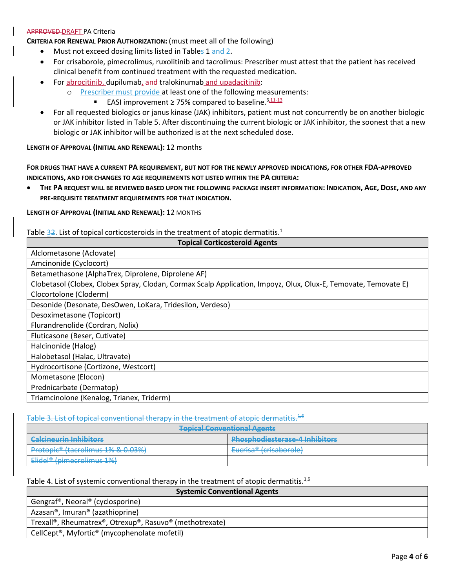**CRITERIA FOR RENEWAL PRIOR AUTHORIZATION:** (must meet all of the following)

- Must not exceed dosing limits listed in Tables 1 and 2.
- For crisaborole, pimecrolimus, ruxolitinib and tacrolimus: Prescriber must attest that the patient has received clinical benefit from continued treatment with the requested medication.
- For abrocitinib, dupilumab, and tralokinumab and upadacitinib:
	- o Prescriber must provide at least one of the following measurements:
		- EASI improvement ≥ 75% compared to baseline.<sup>6,11-13</sup>
- For all requested biologics or janus kinase (JAK) inhibitors, patient must not concurrently be on another biologic or JAK inhibitor listed in Table 5. After discontinuing the current biologic or JAK inhibitor, the soonest that a new biologic or JAK inhibitor will be authorized is at the next scheduled dose.

**LENGTH OF APPROVAL (INITIAL AND RENEWAL):** 12 months

**FOR DRUGS THAT HAVE A CURRENT PA REQUIREMENT, BUT NOT FOR THE NEWLY APPROVED INDICATIONS, FOR OTHER FDA-APPROVED INDICATIONS, AND FOR CHANGES TO AGE REQUIREMENTS NOT LISTED WITHIN THE PA CRITERIA:**

THE PA REQUEST WILL BE REVIEWED BASED UPON THE FOLLOWING PACKAGE INSERT INFORMATION: INDICATION, AGE, DOSE, AND ANY **PRE-REQUISITE TREATMENT REQUIREMENTS FOR THAT INDICATION.**

**LENGTH OF APPROVAL (INITIAL AND RENEWAL):** 12 MONTHS

Table  $32$ . List of topical corticosteroids in the treatment of atopic dermatitis.<sup>1</sup>

| <b>Topical Corticosteroid Agents</b>                                                                            |  |  |
|-----------------------------------------------------------------------------------------------------------------|--|--|
| Alclometasone (Aclovate)                                                                                        |  |  |
| Amcinonide (Cyclocort)                                                                                          |  |  |
| Betamethasone (AlphaTrex, Diprolene, Diprolene AF)                                                              |  |  |
| Clobetasol (Clobex, Clobex Spray, Clodan, Cormax Scalp Application, Impoyz, Olux, Olux-E, Temovate, Temovate E) |  |  |
| Clocortolone (Cloderm)                                                                                          |  |  |
| Desonide (Desonate, DesOwen, LoKara, Tridesilon, Verdeso)                                                       |  |  |
| Desoximetasone (Topicort)                                                                                       |  |  |
| Flurandrenolide (Cordran, Nolix)                                                                                |  |  |
| Fluticasone (Beser, Cutivate)                                                                                   |  |  |
| Halcinonide (Halog)                                                                                             |  |  |
| Halobetasol (Halac, Ultravate)                                                                                  |  |  |
| Hydrocortisone (Cortizone, Westcort)                                                                            |  |  |
| Mometasone (Elocon)                                                                                             |  |  |
| Prednicarbate (Dermatop)                                                                                        |  |  |
| Triamcinolone (Kenalog, Trianex, Triderm)                                                                       |  |  |

Table 3. List of topical conventional therapy in the treatment of atopic dermatitis.<sup>4,6</sup>

| <b>Tonical Conventional Agents</b><br><del>ropical conventional Agents</del> |                                             |  |  |  |
|------------------------------------------------------------------------------|---------------------------------------------|--|--|--|
| Calcinourin Inhibitore                                                       | <b>Dhoenhodiactorace A Inhibitore</b>       |  |  |  |
| <u>. Tein tien er einem einem est als sein</u>                               | <u>FRANCIS INTERNATIONAL AND CONTRACTOR</u> |  |  |  |
| $Dratonic®$ (tacrolimus 1% $R_0$ 0.3%)                                       | Eurira@ (cricaborola)                       |  |  |  |
| <del>1000 0111105 170 00 0.0070</del>                                        | <del>10113aworoic</del> h                   |  |  |  |
| <del>i i vtvivit -</del>                                                     | <del>cucnsa –</del>                         |  |  |  |
| Elidel <sup>®</sup> (pimecrolimus 1%)                                        |                                             |  |  |  |

Table 4. List of systemic conventional therapy in the treatment of atopic dermatitis.<sup>1,6</sup>

| <b>Systemic Conventional Agents</b>                       |  |  |
|-----------------------------------------------------------|--|--|
| Gengraf <sup>®</sup> , Neoral <sup>®</sup> (cyclosporine) |  |  |
| Azasan <sup>®</sup> , Imuran <sup>®</sup> (azathioprine)  |  |  |
| Trexall®, Rheumatrex®, Otrexup®, Rasuvo® (methotrexate)   |  |  |
| CellCept®, Myfortic® (mycophenolate mofetil)              |  |  |